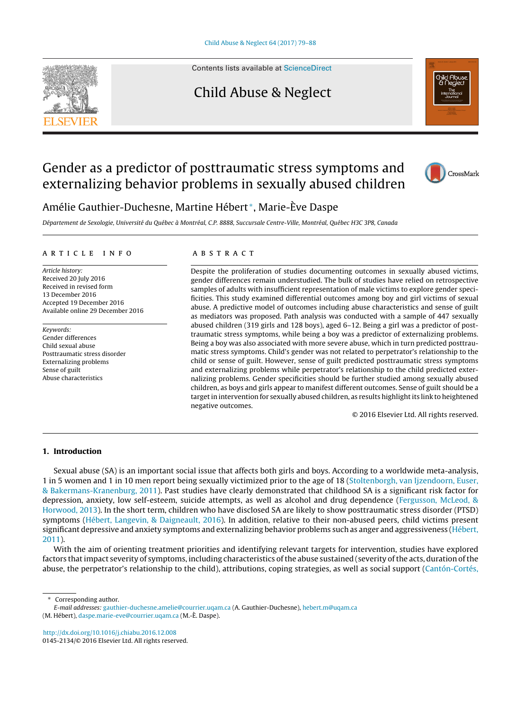

Contents lists available at [ScienceDirect](http://www.sciencedirect.com/science/journal/01452134)

## Child Abuse & Neglect



# Gender as a predictor of posttraumatic stress symptoms and externalizing behavior problems in sexually abused children



## Amélie Gauthier-Duchesne, Martine Hébert <sup>∗</sup>, Marie-Ève Daspe

Département de Sexologie, Université du Québec à Montréal, C.P. 8888, Succursale Centre-Ville, Montréal, Québec H3C 3P8, Canada

## ARTICLE INFO

Article history: Received 20 July 2016 Received in revised form 13 December 2016 Accepted 19 December 2016 Available online 29 December 2016

Keywords: Gender differences Child sexual abuse Posttraumatic stress disorder Externalizing problems Sense of guilt Abuse characteristics

## A B S T R A C T

Despite the proliferation of studies documenting outcomes in sexually abused victims, gender differences remain understudied. The bulk of studies have relied on retrospective samples of adults with insufficient representation of male victims to explore gender specificities. This study examined differential outcomes among boy and girl victims of sexual abuse. A predictive model of outcomes including abuse characteristics and sense of guilt as mediators was proposed. Path analysis was conducted with a sample of 447 sexually abused children (319 girls and 128 boys), aged 6–12. Being a girl was a predictor of posttraumatic stress symptoms, while being a boy was a predictor of externalizing problems. Being a boy was also associated with more severe abuse, which in turn predicted posttraumatic stress symptoms. Child's gender was not related to perpetrator's relationship to the child or sense of guilt. However, sense of guilt predicted posttraumatic stress symptoms and externalizing problems while perpetrator's relationship to the child predicted externalizing problems. Gender specificities should be further studied among sexually abused children, as boys and girls appear to manifest different outcomes. Sense of guilt should be a target in intervention for sexually abused children, as results highlight its link to heightened negative outcomes.

© 2016 Elsevier Ltd. All rights reserved.

## **1. Introduction**

Sexual abuse (SA) is an important social issue that affects both girls and boys. According to a worldwide meta-analysis, 1 in 5 women and 1 in 10 men report being sexually victimized prior to the age of 18 [\(Stoltenborgh,](#page-9-0) [van](#page-9-0) [Ijzendoorn,](#page-9-0) [Euser,](#page-9-0) [&](#page-9-0) [Bakermans-Kranenburg,](#page-9-0) [2011\).](#page-9-0) Past studies have clearly demonstrated that childhood SA is a significant risk factor for depression, anxiety, low self-esteem, suicide attempts, as well as alcohol and drug dependence ([Fergusson,](#page-8-0) [McLeod,](#page-8-0) [&](#page-8-0) [Horwood,](#page-8-0) [2013\).](#page-8-0) In the short term, children who have disclosed SA are likely to show posttraumatic stress disorder (PTSD) symptoms [\(Hébert,](#page-8-0) [Langevin,](#page-8-0) [&](#page-8-0) [Daigneault,](#page-8-0) [2016\).](#page-8-0) In addition, relative to their non-abused peers, child victims present significant depressive and anxiety symptoms and externalizing behavior problems such as anger and aggressiveness [\(Hébert,](#page-8-0) [2011\).](#page-8-0)

With the aim of orienting treatment priorities and identifying relevant targets for intervention, studies have explored factors that impact severity of symptoms, including characteristics of the abuse sustained (severity of the acts, duration of the abuse, the perpetrator's relationship to the child), attributions, coping strategies, as well as social support [\(Cantón-Cortés,](#page-8-0)

Corresponding author. E-mail addresses: [gauthier-duchesne.amelie@courrier.uqam.ca](mailto:gauthier-duchesne.amelie@courrier.uqam.ca) (A. Gauthier-Duchesne), [hebert.m@uqam.ca](mailto:hebert.m@uqam.ca) (M. Hébert), [daspe.marie-eve@courrier.uqam.ca](mailto:daspe.marie-eve@courrier.uqam.ca) (M.-È. Daspe).

[http://dx.doi.org/10.1016/j.chiabu.2016.12.008](dx.doi.org/10.1016/j.chiabu.2016.12.008) 0145-2134/© 2016 Elsevier Ltd. All rights reserved.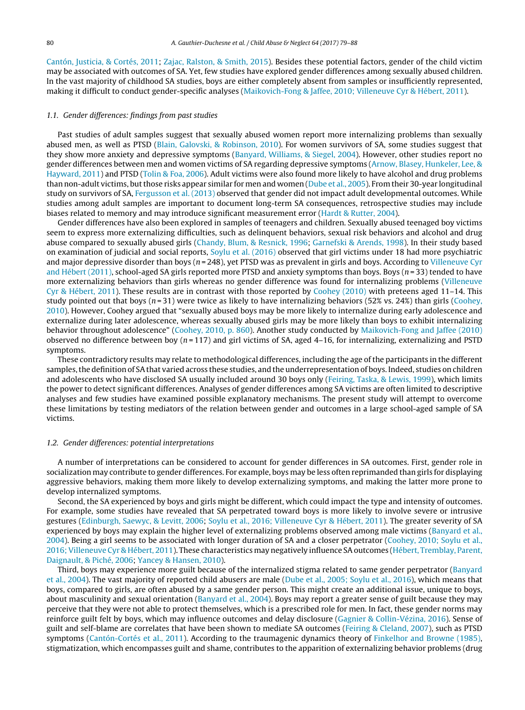[Cantón,](#page-8-0) [Justicia,](#page-8-0) [&](#page-8-0) [Cortés,](#page-8-0) [2011;](#page-8-0) [Zajac,](#page-9-0) [Ralston,](#page-9-0) [&](#page-9-0) [Smith,](#page-9-0) [2015\).](#page-9-0) Besides these potential factors, gender of the child victim may be associated with outcomes of SA. Yet, few studies have explored gender differences among sexually abused children. In the vast majority of childhood SA studies, boys are either completely absent from samples or insufficiently represented, making it difficult to conduct gender-specific analyses [\(Maikovich-Fong](#page-9-0) [&](#page-9-0) [Jaffee,](#page-9-0) [2010;](#page-9-0) [Villeneuve](#page-9-0) [Cyr](#page-9-0) [&](#page-9-0) [Hébert,](#page-9-0) [2011\).](#page-9-0)

## 1.1. Gender differences: findings from past studies

Past studies of adult samples suggest that sexually abused women report more internalizing problems than sexually abused men, as well as PTSD ([Blain,](#page-8-0) [Galovski,](#page-8-0) [&](#page-8-0) [Robinson,](#page-8-0) [2010\).](#page-8-0) For women survivors of SA, some studies suggest that they show more anxiety and depressive symptoms ([Banyard,](#page-8-0) [Williams,](#page-8-0) [&](#page-8-0) [Siegel,](#page-8-0) [2004\).](#page-8-0) However, other studies report no gender differences between men and women victims of SA regarding depressive symptoms [\(Arnow,](#page-8-0) [Blasey,](#page-8-0) [Hunkeler,](#page-8-0) [Lee,](#page-8-0) [&](#page-8-0) [Hayward,](#page-8-0) [2011\)](#page-8-0) and PTSD ([Tolin](#page-9-0) [&](#page-9-0) [Foa,](#page-9-0) [2006\).](#page-9-0) Adult victims were also found more likely to have alcohol and drug problems than non-adult victims, butthose risks appear similar for men and women [\(Dube](#page-8-0) et [al.,](#page-8-0) [2005\).](#page-8-0) From their 30-year longitudinal study on survivors of SA, [Fergusson](#page-8-0) et [al.](#page-8-0) [\(2013\)](#page-8-0) observed that gender did not impact adult developmental outcomes. While studies among adult samples are important to document long-term SA consequences, retrospective studies may include biases related to memory and may introduce significant measurement error [\(Hardt](#page-8-0) [&](#page-8-0) [Rutter,](#page-8-0) [2004\).](#page-8-0)

Gender differences have also been explored in samples of teenagers and children. Sexually abused teenaged boy victims seem to express more externalizing difficulties, such as delinquent behaviors, sexual risk behaviors and alcohol and drug abuse compared to sexually abused girls [\(Chandy,](#page-8-0) [Blum,](#page-8-0) [&](#page-8-0) [Resnick,](#page-8-0) [1996;](#page-8-0) [Garnefski](#page-8-0) [&](#page-8-0) [Arends,](#page-8-0) [1998\).](#page-8-0) In their study based on examination of judicial and social reports, [Soylu](#page-9-0) et [al.](#page-9-0) [\(2016\)](#page-9-0) observed that girl victims under 18 had more psychiatric and major depressive disorder than boys ( $n = 248$ ), yet PTSD was as prevalent in girls and boys. According to [Villeneuve](#page-9-0) [Cyr](#page-9-0) [and](#page-9-0) [Hébert](#page-9-0) [\(2011\),](#page-9-0) school-aged SA girls reported more PTSD and anxiety symptoms than boys. Boys ( $n = 33$ ) tended to have more externalizing behaviors than girls whereas no gender difference was found for internalizing problems ([Villeneuve](#page-9-0) [Cyr](#page-9-0) [&](#page-9-0) [Hébert,](#page-9-0) [2011\).](#page-9-0) These results are in contrast with those reported by [Coohey](#page-8-0) [\(2010\)](#page-8-0) with preteens aged 11–14. This study pointed out that boys ( $n = 31$ ) were twice as likely to have internalizing behaviors (52% vs. 24%) than girls [\(Coohey,](#page-8-0) [2010\).](#page-8-0) However, Coohey argued that "sexually abused boys may be more likely to internalize during early adolescence and externalize during later adolescence, whereas sexually abused girls may be more likely than boys to exhibit internalizing behavior throughout adolescence" ([Coohey,](#page-8-0) [2010,](#page-8-0) [p.](#page-8-0) [860\).](#page-8-0) Another study conducted by [Maikovich-Fong](#page-9-0) [and](#page-9-0) [Jaffee](#page-9-0) [\(2010\)](#page-9-0) observed no difference between boy ( $n = 117$ ) and girl victims of SA, aged 4–16, for internalizing, externalizing and PSTD symptoms.

These contradictory results may relate to methodological differences, including the age of the participants in the different samples, the definition of SA that varied across these studies, and the underrepresentation of boys. Indeed, studies on children and adolescents who have disclosed SA usually included around 30 boys only ([Feiring,](#page-8-0) [Taska,](#page-8-0) [&](#page-8-0) [Lewis,](#page-8-0) [1999\),](#page-8-0) which limits the power to detect significant differences. Analyses of gender differences among SA victims are often limited to descriptive analyses and few studies have examined possible explanatory mechanisms. The present study will attempt to overcome these limitations by testing mediators of the relation between gender and outcomes in a large school-aged sample of SA victims.

#### 1.2. Gender differences: potential interpretations

A number of interpretations can be considered to account for gender differences in SA outcomes. First, gender role in socialization may contribute to gender differences. For example, boys may be less often reprimanded than girls for displaying aggressive behaviors, making them more likely to develop externalizing symptoms, and making the latter more prone to develop internalized symptoms.

Second, the SA experienced by boys and girls might be different, which could impact the type and intensity of outcomes. For example, some studies have revealed that SA perpetrated toward boys is more likely to involve severe or intrusive gestures ([Edinburgh,](#page-8-0) [Saewyc,](#page-8-0) [&](#page-8-0) [Levitt,](#page-8-0) [2006;](#page-8-0) [Soylu](#page-9-0) et [al.,](#page-9-0) [2016;](#page-9-0) [Villeneuve](#page-9-0) [Cyr](#page-9-0) [&](#page-9-0) [Hébert,](#page-9-0) [2011\).](#page-9-0) The greater severity of SA experienced by boys may explain the higher level of externalizing problems observed among male victims [\(Banyard](#page-8-0) et [al.,](#page-8-0) [2004\).](#page-8-0) Being a girl seems to be associated with longer duration of SA and a closer perpetrator [\(Coohey,](#page-8-0) [2010;](#page-8-0) [Soylu](#page-8-0) et [al.,](#page-8-0) [2016;](#page-8-0) [Villeneuve](#page-8-0) [Cyr](#page-8-0) [&](#page-8-0) [Hébert,](#page-8-0) [2011\).](#page-8-0) These characteristics may negatively influence SA outcomes ([Hébert,](#page-8-0) [Tremblay,](#page-8-0) [Parent,](#page-8-0) [Daignault,](#page-8-0) [&](#page-8-0) [Piché,](#page-8-0) [2006;](#page-8-0) [Yancey](#page-9-0) [&](#page-9-0) [Hansen,](#page-9-0) [2010\).](#page-9-0)

Third, boys may experience more guilt because of the internalized stigma related to same gender perpetrator [\(Banyard](#page-8-0) et [al.,](#page-8-0) [2004\).](#page-8-0) The vast majority of reported child abusers are male [\(Dube](#page-8-0) et [al.,](#page-8-0) [2005;](#page-8-0) [Soylu](#page-8-0) et [al.,](#page-8-0) [2016\),](#page-8-0) which means that boys, compared to girls, are often abused by a same gender person. This might create an additional issue, unique to boys, about masculinity and sexual orientation [\(Banyard](#page-8-0) et [al.,](#page-8-0) [2004\).](#page-8-0) Boys may report a greater sense of guilt because they may perceive that they were not able to protect themselves, which is a prescribed role for men. In fact, these gender norms may reinforce guilt felt by boys, which may influence outcomes and delay disclosure [\(Gagnier](#page-8-0) [&](#page-8-0) [Collin-Vézina,](#page-8-0) [2016\).](#page-8-0) Sense of guilt and self-blame are correlates that have been shown to mediate SA outcomes [\(Feiring](#page-8-0) [&](#page-8-0) [Cleland,](#page-8-0) [2007\),](#page-8-0) such as PTSD symptoms [\(Cantón-Cortés](#page-8-0) et [al.,](#page-8-0) [2011\).](#page-8-0) According to the traumagenic dynamics theory of [Finkelhor](#page-8-0) [and](#page-8-0) [Browne](#page-8-0) [\(1985\),](#page-8-0) stigmatization, which encompasses guilt and shame, contributes to the apparition of externalizing behavior problems (drug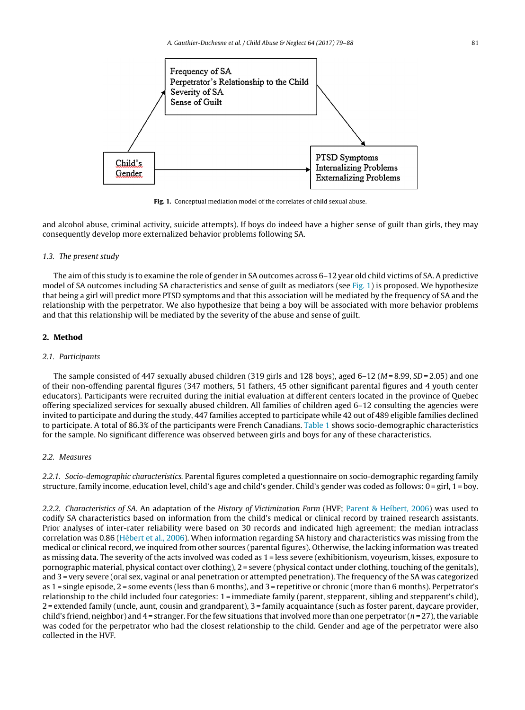

**Fig. 1.** Conceptual mediation model of the correlates of child sexual abuse.

and alcohol abuse, criminal activity, suicide attempts). If boys do indeed have a higher sense of guilt than girls, they may consequently develop more externalized behavior problems following SA.

### 1.3. The present study

The aim of this study is to examine the role of gender in SA outcomes across 6–12 year old child victims of SA. A predictive model of SA outcomes including SA characteristics and sense of guilt as mediators (see Fig. 1) is proposed. We hypothesize that being a girl will predict more PTSD symptoms and that this association will be mediated by the frequency of SA and the relationship with the perpetrator. We also hypothesize that being a boy will be associated with more behavior problems and that this relationship will be mediated by the severity of the abuse and sense of guilt.

## **2. Method**

## 2.1. Participants

The sample consisted of 447 sexually abused children (319 girls and 128 boys), aged  $6-12$  ( $M = 8.99$ ,  $SD = 2.05$ ) and one of their non-offending parental figures (347 mothers, 51 fathers, 45 other significant parental figures and 4 youth center educators). Participants were recruited during the initial evaluation at different centers located in the province of Quebec offering specialized services for sexually abused children. All families of children aged 6–12 consulting the agencies were invited to participate and during the study, 447 families accepted to participate while 42 out of 489 eligible families declined to participate. A total of 86.3% of the participants were French Canadians. [Table](#page-3-0) 1 shows socio-demographic characteristics for the sample. No significant difference was observed between girls and boys for any of these characteristics.

## 2.2. Measures

2.2.1. Socio-demographic characteristics. Parental figures completed a questionnaire on socio-demographic regarding family structure, family income, education level, child's age and child's gender. Child's gender was coded as follows:  $0 = \text{girl}$ ,  $1 = \text{boy}$ .

2.2.2. Characteristics of SA. An adaptation of the History of Victimization Form (HVF; [Parent](#page-9-0) [&](#page-9-0) Heibert, [2006\)](#page-9-0) was used to codify SA characteristics based on information from the child's medical or clinical record by trained research assistants. Prior analyses of inter-rater reliability were based on 30 records and indicated high agreement; the median intraclass correlation was 0.86 [\(Hébert](#page-8-0) et [al.,](#page-8-0) [2006\).](#page-8-0) When information regarding SA history and characteristics was missing from the medical or clinical record, we inquired from other sources (parental figures). Otherwise, the lacking information was treated as missing data. The severity of the acts involved was coded as 1 = less severe (exhibitionism, voyeurism, kisses, exposure to pornographic material, physical contact over clothing), 2 = severe (physical contact under clothing, touching of the genitals), and 3 = very severe (oral sex, vaginal or anal penetration or attempted penetration). The frequency of the SA was categorized as 1 = single episode, 2 = some events (less than 6 months), and 3 = repetitive or chronic (more than 6 months). Perpetrator's relationship to the child included four categories: 1 = immediate family (parent, stepparent, sibling and stepparent's child), 2 = extended family (uncle, aunt, cousin and grandparent), 3 = family acquaintance (such as foster parent, daycare provider, child's friend, neighbor) and  $4$  = stranger. For the few situations that involved more than one perpetrator ( $n = 27$ ), the variable was coded for the perpetrator who had the closest relationship to the child. Gender and age of the perpetrator were also collected in the HVF.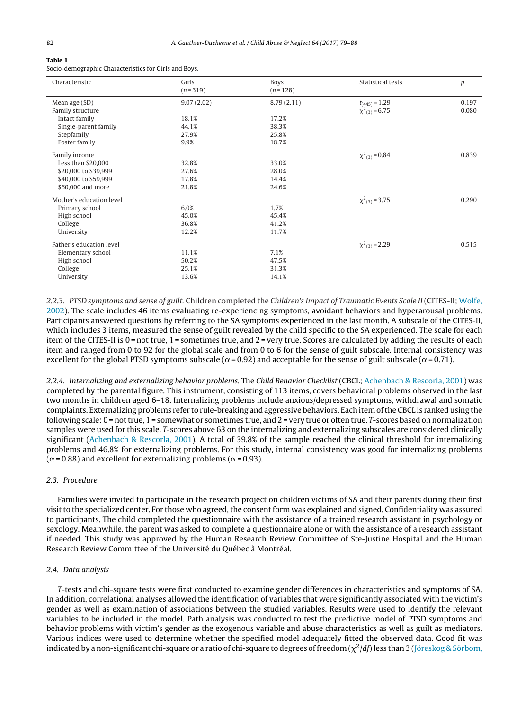#### <span id="page-3-0"></span>**Table 1**

Socio-demographic Characteristics for Girls and Boys.

| Characteristic           | Girls<br>$(n=319)$ | <b>Boys</b><br>$(n=128)$ | Statistical tests              | p     |
|--------------------------|--------------------|--------------------------|--------------------------------|-------|
| Mean age (SD)            | 9.07(2.02)         | 8.79(2.11)               | $t_{(445)} = 1.29$             | 0.197 |
| Family structure         |                    |                          | $\chi^2$ <sub>(3)</sub> = 6.75 | 0.080 |
| Intact family            | 18.1%              | 17.2%                    |                                |       |
| Single-parent family     | 44.1%              | 38.3%                    |                                |       |
| Stepfamily               | 27.9%              | 25.8%                    |                                |       |
| Foster family            | 9.9%               | 18.7%                    |                                |       |
| Family income            |                    |                          | $\chi^2$ <sub>(3)</sub> = 0.84 | 0.839 |
| Less than \$20,000       | 32.8%              | 33.0%                    |                                |       |
| \$20,000 to \$39,999     | 27.6%              | 28.0%                    |                                |       |
| \$40,000 to \$59,999     | 17.8%              | 14.4%                    |                                |       |
| \$60,000 and more        | 21.8%              | 24.6%                    |                                |       |
| Mother's education level |                    |                          | $\chi^2$ <sub>(3)</sub> = 3.75 | 0.290 |
| Primary school           | 6.0%               | 1.7%                     |                                |       |
| High school              | 45.0%              | 45.4%                    |                                |       |
| College                  | 36.8%              | 41.2%                    |                                |       |
| University               | 12.2%              | 11.7%                    |                                |       |
| Father's education level |                    |                          | $\chi^2_{(3)} = 2.29$          | 0.515 |
| Elementary school        | 11.1%              | 7.1%                     |                                |       |
| High school              | 50.2%              | 47.5%                    |                                |       |
| College                  | 25.1%              | 31.3%                    |                                |       |
| University               | 13.6%              | 14.1%                    |                                |       |

2.2.3. PTSD symptoms and sense of guilt. Children completed the Children's Impact of Traumatic Events Scale II (CITES-II; [Wolfe,](#page-9-0) [2002\).](#page-9-0) The scale includes 46 items evaluating re-experiencing symptoms, avoidant behaviors and hyperarousal problems. Participants answered questions by referring to the SA symptoms experienced in the last month. A subscale of the CITES-II, which includes 3 items, measured the sense of guilt revealed by the child specific to the SA experienced. The scale for each item of the CITES-II is 0 = not true, 1 = sometimes true, and 2 = very true. Scores are calculated by adding the results of each item and ranged from 0 to 92 for the global scale and from 0 to 6 for the sense of guilt subscale. Internal consistency was excellent for the global PTSD symptoms subscale ( $\alpha$  = 0.92) and acceptable for the sense of guilt subscale ( $\alpha$  = 0.71).

2.2.4. Internalizing and externalizing behavior problems. The Child Behavior Checklist (CBCL; [Achenbach](#page-8-0) [&](#page-8-0) [Rescorla,](#page-8-0) [2001\)](#page-8-0) was completed by the parental figure. This instrument, consisting of 113 items, covers behavioral problems observed in the last two months in children aged 6–18. Internalizing problems include anxious/depressed symptoms, withdrawal and somatic complaints. Externalizing problems refer to rule-breaking and aggressive behaviors. Each item ofthe CBCL is ranked using the following scale:  $0$  = not true, 1 = somewhat or sometimes true, and  $2$  = very true or often true. T-scores based on normalization samples were used for this scale. T-scores above 63 on the internalizing and externalizing subscales are considered clinically significant [\(Achenbach](#page-8-0) [&](#page-8-0) [Rescorla,](#page-8-0) [2001\).](#page-8-0) A total of 39.8% of the sample reached the clinical threshold for internalizing problems and 46.8% for externalizing problems. For this study, internal consistency was good for internalizing problems ( $\alpha$  = 0.88) and excellent for externalizing problems ( $\alpha$  = 0.93).

## 2.3. Procedure

Families were invited to participate in the research project on children victims of SA and their parents during their first visit to the specialized center. For those who agreed, the consent form was explained and signed. Confidentiality was assured to participants. The child completed the questionnaire with the assistance of a trained research assistant in psychology or sexology. Meanwhile, the parent was asked to complete a questionnaire alone or with the assistance of a research assistant if needed. This study was approved by the Human Research Review Committee of Ste-Justine Hospital and the Human Research Review Committee of the Université du Québec à Montréal.

## 2.4. Data analysis

T-tests and chi-square tests were first conducted to examine gender differences in characteristics and symptoms of SA. In addition, correlational analyses allowed the identification of variables that were significantly associated with the victim's gender as well as examination of associations between the studied variables. Results were used to identify the relevant variables to be included in the model. Path analysis was conducted to test the predictive model of PTSD symptoms and behavior problems with victim's gender as the exogenous variable and abuse characteristics as well as guilt as mediators. Various indices were used to determine whether the specified model adequately fitted the observed data. Good fit was indicated by a non-significant chi-square or a ratio of chi-square to degrees of freedom ( $\chi^2/df$ ) less than 3 ([Jöreskog](#page-9-0) [&](#page-9-0) [Sörbom,](#page-9-0)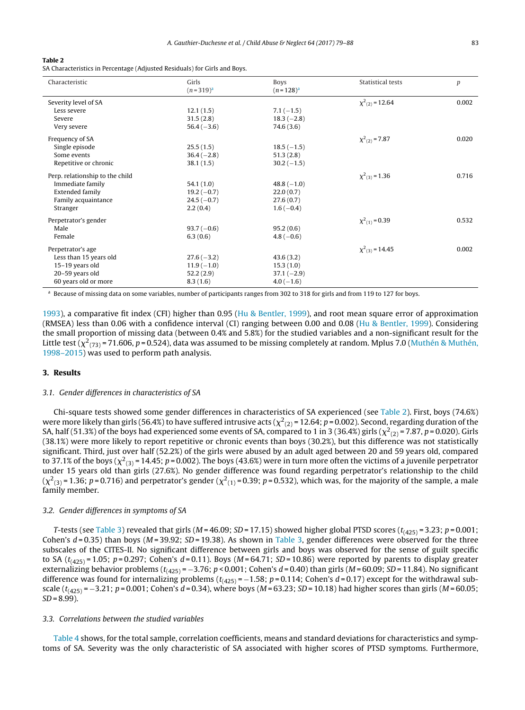#### **Table 2**

SA Characteristics in Percentage (Adjusted Residuals) for Girls and Boys.

| Characteristic                  | Girls<br>$(n=319)^{a}$ | <b>Boys</b><br>$(n=128)^a$ | Statistical tests               | p     |
|---------------------------------|------------------------|----------------------------|---------------------------------|-------|
| Severity level of SA            |                        |                            | $\chi^2$ <sub>(2)</sub> = 12.64 | 0.002 |
| Less severe                     | 12.1(1.5)              | $7.1(-1.5)$                |                                 |       |
| Severe                          | 31.5(2.8)              | $18.3(-2.8)$               |                                 |       |
| Very severe                     | $56.4(-3.6)$           | 74.6(3.6)                  |                                 |       |
| Frequency of SA                 |                        |                            | $\chi^2_{(2)} = 7.87$           | 0.020 |
| Single episode                  | 25.5(1.5)              | $18.5(-1.5)$               |                                 |       |
| Some events                     | $36.4(-2.8)$           | 51.3(2.8)                  |                                 |       |
| Repetitive or chronic           | 38.1(1.5)              | $30.2(-1.5)$               |                                 |       |
| Perp. relationship to the child |                        |                            | $\chi^2$ <sub>(3)</sub> = 1.36  | 0.716 |
| Immediate family                | 54.1(1.0)              | $48.8(-1.0)$               |                                 |       |
| Extended family                 | $19.2(-0.7)$           | 22.0(0.7)                  |                                 |       |
| Family acquaintance             | $24.5(-0.7)$           | 27.6(0.7)                  |                                 |       |
| Stranger                        | 2.2(0.4)               | $1.6(-0.4)$                |                                 |       |
| Perpetrator's gender            |                        |                            | $\chi^2$ <sub>(1)</sub> = 0.39  | 0.532 |
| Male                            | $93.7(-0.6)$           | 95.2(0.6)                  |                                 |       |
| Female                          | 6.3(0.6)               | $4.8(-0.6)$                |                                 |       |
| Perpetrator's age               |                        |                            | $\chi^2$ <sub>(3)</sub> = 14.45 | 0.002 |
| Less than 15 years old          | $27.6(-3.2)$           | 43.6(3.2)                  |                                 |       |
| 15-19 years old                 | $11.9(-1.0)$           | 15.3(1.0)                  |                                 |       |
| 20-59 years old                 | 52.2(2.9)              | $37.1(-2.9)$               |                                 |       |
| 60 years old or more            | 8.3(1.6)               | $4.0(-1.6)$                |                                 |       |

<sup>a</sup> Because of missing data on some variables, number of participants ranges from 302 to 318 for girls and from 119 to 127 for boys.

[1993\),](#page-9-0) a comparative fit index (CFI) higher than 0.95 ([Hu](#page-9-0) [&](#page-9-0) [Bentler,](#page-9-0) [1999\),](#page-9-0) and root mean square error of approximation (RMSEA) less than 0.06 with a confidence interval (CI) ranging between 0.00 and 0.08 ([Hu](#page-9-0) [&](#page-9-0) [Bentler,](#page-9-0) [1999\).](#page-9-0) Considering the small proportion of missing data (between 0.4% and 5.8%) for the studied variables and a non-significant result for the Little test ( $\chi^2_{(73)}$ =71.606, p=0.524), data was assumed to be missing completely at random. Mplus 7.0 [\(Muthén](#page-9-0) [&](#page-9-0) [Muthén,](#page-9-0) [1998–2015\)](#page-9-0) was used to perform path analysis.

#### **3. Results**

#### 3.1. Gender differences in characteristics of SA

Chi-square tests showed some gender differences in characteristics of SA experienced (see Table 2). First, boys (74.6%) were more likely than girls (56.4%) to have suffered intrusive acts ( $\chi^2_{(2)}$  = 12.64;  $p$  = 0.002). Second, regarding duration of the SA, half (51.3%) of the boys had experienced some events of SA, compared to 1 in 3 (36.4%) girls ( $\chi^2_{(2)}$ =7.87, p=0.020). Girls (38.1%) were more likely to report repetitive or chronic events than boys (30.2%), but this difference was not statistically significant. Third, just over half (52.2%) of the girls were abused by an adult aged between 20 and 59 years old, compared to 37.1% of the boys ( $\chi^2_{\rm (3)}$  = 14.45; p = 0.002). The boys (43.6%) were in turn more often the victims of a juvenile perpetrator under 15 years old than girls (27.6%). No gender difference was found regarding perpetrator's relationship to the child ( $\chi^2_{(3)}$ =1.36; p=0.716) and perpetrator's gender ( $\chi^2_{(1)}$ =0.39; p=0.532), which was, for the majority of the sample, a male family member.

#### 3.2. Gender differences in symptoms of SA

T-tests (see [Table](#page-5-0) 3) revealed that girls ( $M = 46.09$ ;  $SD = 17.15$ ) showed higher global PTSD scores ( $t_{(425)} = 3.23$ ;  $p = 0.001$ ; Cohen's  $d = 0.35$ ) than boys ( $M = 39.92$ ;  $SD = 19.38$ ). As shown in [Table](#page-5-0) 3, gender differences were observed for the three subscales of the CITES-II. No significant difference between girls and boys was observed for the sense of guilt specific to SA ( $t_{(425)}$  = 1.05; p = 0.297; Cohen's d = 0.11). Boys (M = 64.71; SD = 10.86) were reported by parents to display greater externalizing behavior problems ( $t_{(425)} = -3.76$ ; p < 0.001; Cohen's d = 0.40) than girls (M = 60.09; SD = 11.84). No significant difference was found for internalizing problems ( $t_{(425)} = -1.58$ ; p=0.114; Cohen's d=0.17) except for the withdrawal subscale ( $t_{(425)} = -3.21$ ; p = 0.001; Cohen's d = 0.34), where boys (M = 63.23; SD = 10.18) had higher scores than girls (M = 60.05;  $SD = 8.99$ ).

#### 3.3. Correlations between the studied variables

[Table](#page-5-0) 4 shows, for the total sample, correlation coefficients, means and standard deviations for characteristics and symptoms of SA. Severity was the only characteristic of SA associated with higher scores of PTSD symptoms. Furthermore,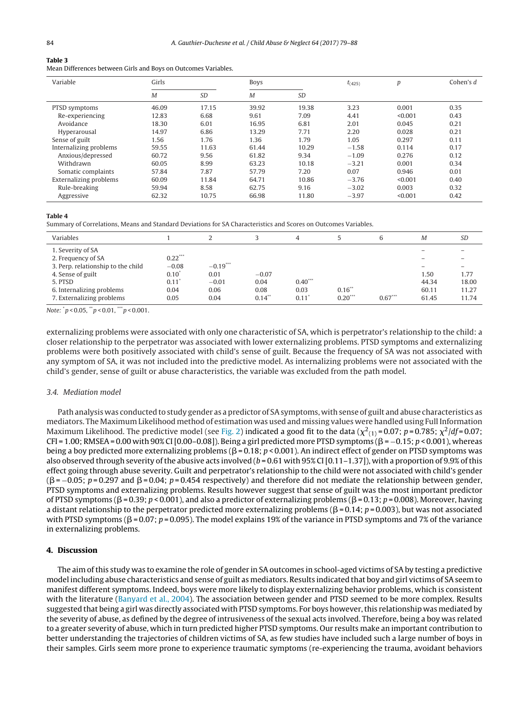## <span id="page-5-0"></span>**Table 3**

Mean Differences between Girls and Boys on Outcomes Variables.

| Variable               | Girls |           | <b>Boys</b> |           | $t_{(425)}$ | p       | Cohen's $d$ |
|------------------------|-------|-----------|-------------|-----------|-------------|---------|-------------|
|                        | M     | <b>SD</b> | M           | <b>SD</b> |             |         |             |
| PTSD symptoms          | 46.09 | 17.15     | 39.92       | 19.38     | 3.23        | 0.001   | 0.35        |
| Re-experiencing        | 12.83 | 6.68      | 9.61        | 7.09      | 4.41        | < 0.001 | 0.43        |
| Avoidance              | 18.30 | 6.01      | 16.95       | 6.81      | 2.01        | 0.045   | 0.21        |
| Hyperarousal           | 14.97 | 6.86      | 13.29       | 7.71      | 2.20        | 0.028   | 0.21        |
| Sense of guilt         | 1.56  | 1.76      | 1.36        | 1.79      | 1.05        | 0.297   | 0.11        |
| Internalizing problems | 59.55 | 11.63     | 61.44       | 10.29     | $-1.58$     | 0.114   | 0.17        |
| Anxious/depressed      | 60.72 | 9.56      | 61.82       | 9.34      | $-1.09$     | 0.276   | 0.12        |
| Withdrawn              | 60.05 | 8.99      | 63.23       | 10.18     | $-3.21$     | 0.001   | 0.34        |
| Somatic complaints     | 57.84 | 7.87      | 57.79       | 7.20      | 0.07        | 0.946   | 0.01        |
| Externalizing problems | 60.09 | 11.84     | 64.71       | 10.86     | $-3.76$     | < 0.001 | 0.40        |
| Rule-breaking          | 59.94 | 8.58      | 62.75       | 9.16      | $-3.02$     | 0.003   | 0.32        |
| Aggressive             | 62.32 | 10.75     | 66.98       | 11.80     | $-3.97$     | < 0.001 | 0.42        |

**Table 4**

Summary of Correlations, Means and Standard Deviations for SA Characteristics and Scores on Outcomes Variables.

| Variables                          |                     |            |           | 4         |           | 6         | M     | SD    |
|------------------------------------|---------------------|------------|-----------|-----------|-----------|-----------|-------|-------|
| 1. Severity of SA                  |                     |            |           |           |           |           |       |       |
| 2. Frequency of SA                 | $0.22***$           |            |           |           |           |           |       |       |
| 3. Perp. relationship to the child | $-0.08$             | $-0.19***$ |           |           |           |           |       |       |
| 4. Sense of guilt                  | $0.10^{*}$          | 0.01       | $-0.07$   |           |           |           | 1.50  | 1.77  |
| 5. PTSD                            | $0.11$ <sup>*</sup> | $-0.01$    | 0.04      | $0.40***$ |           |           | 44.34 | 18.00 |
| 6. Internalizing problems          | 0.04                | 0.06       | 0.08      | 0.03      | $0.16***$ |           | 60.11 | 11.27 |
| 7. Externalizing problems          | 0.05                | 0.04       | $0.14***$ | 0.11      | $0.20***$ | $0.67***$ | 61.45 | 11.74 |
|                                    |                     |            |           |           |           |           |       |       |

Note:  $p < 0.05$ ,  $p < 0.01$ ,  $p < 0.001$ .

externalizing problems were associated with only one characteristic of SA, which is perpetrator's relationship to the child: a closer relationship to the perpetrator was associated with lower externalizing problems. PTSD symptoms and externalizing problems were both positively associated with child's sense of guilt. Because the frequency of SA was not associated with any symptom of SA, it was not included into the predictive model. As internalizing problems were not associated with the child's gender, sense of guilt or abuse characteristics, the variable was excluded from the path model.

#### 3.4. Mediation model

Path analysis was conducted to study gender as a predictor of SAsymptoms, with sense of guilt and abuse characteristics as mediators. The Maximum Likelihood method of estimation was used and missing values were handled using Full Information Maximum Likelihood. The predictive model (see [Fig.](#page-6-0) 2) indicated a good fit to the data ( $\chi^2_{(1)}$ =0.07; p=0.785;  $\chi^2$ /df=0.07; CFI = 1.00; RMSEA = 0.00 with 90% CI [0.00–0.08]). Being a girl predicted more PTSD symptoms ( $\beta$  = -0.15; p < 0.001), whereas being a boy predicted more externalizing problems ( $\beta$  = 0.18;  $p$  < 0.001). An indirect effect of gender on PTSD symptoms was also observed through severity of the abusive acts involved  $(b = 0.61$  with 95% CI [0.11–1.37]), with a proportion of 9.9% of this effect going through abuse severity. Guilt and perpetrator's relationship to the child were not associated with child's gender  $(\beta = -0.05; p = 0.297$  and  $\beta = 0.04; p = 0.454$  respectively) and therefore did not mediate the relationship between gender, PTSD symptoms and externalizing problems. Results however suggest that sense of guilt was the most important predictor of PTSD symptoms ( $\beta$  = 0.39; p < 0.001), and also a predictor of externalizing problems ( $\beta$  = 0.13; p = 0.008). Moreover, having a distant relationship to the perpetrator predicted more externalizing problems ( $\beta$  = 0.14; p=0.003), but was not associated with PTSD symptoms ( $\beta$  = 0.07; p = 0.095). The model explains 19% of the variance in PTSD symptoms and 7% of the variance in externalizing problems.

## **4. Discussion**

The aim ofthis study was to examine the role of gender in SA outcomes in school-aged victims of SA by testing a predictive model including abuse characteristics and sense of guilt as mediators. Results indicated that boy and girl victims of SAseem to manifest different symptoms. Indeed, boys were more likely to display externalizing behavior problems, which is consistent with the literature ([Banyard](#page-8-0) et [al.,](#page-8-0) [2004\).](#page-8-0) The association between gender and PTSD seemed to be more complex. Results suggested that being a girl was directly associated with PTSD symptoms. For boys however, this relationship was mediated by the severity of abuse, as defined by the degree of intrusiveness of the sexual acts involved. Therefore, being a boy was related to a greater severity of abuse, which in turn predicted higher PTSD symptoms. Our results make an important contribution to better understanding the trajectories of children victims of SA, as few studies have included such a large number of boys in their samples. Girls seem more prone to experience traumatic symptoms (re-experiencing the trauma, avoidant behaviors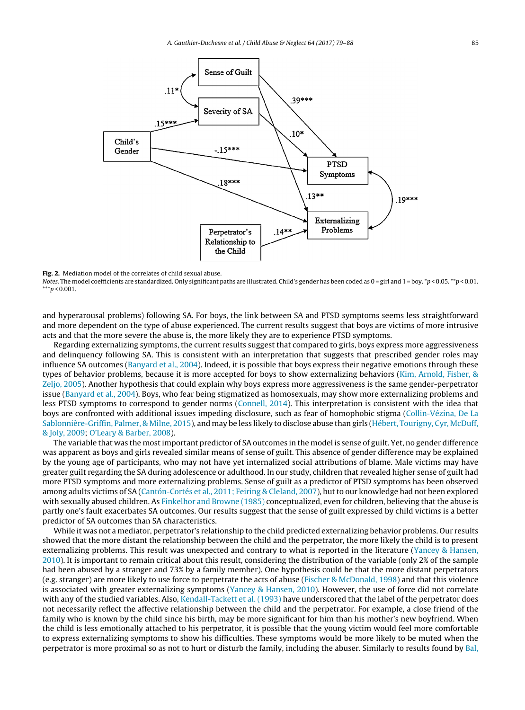<span id="page-6-0"></span>

**Fig. 2.** Mediation model of the correlates of child sexual abuse.

Notes. The model coefficients are standardized. Only significant paths are illustrated. Child's gender has been coded as 0 = girl and 1 = boy. \*p < 0.05. \*\*p < 0.01.  $***p < 0.001$ .

and hyperarousal problems) following SA. For boys, the link between SA and PTSD symptoms seems less straightforward and more dependent on the type of abuse experienced. The current results suggest that boys are victims of more intrusive acts and that the more severe the abuse is, the more likely they are to experience PTSD symptoms.

Regarding externalizing symptoms, the current results suggest that compared to girls, boys express more aggressiveness and delinquency following SA. This is consistent with an interpretation that suggests that prescribed gender roles may influence SA outcomes [\(Banyard](#page-8-0) et [al.,](#page-8-0) [2004\).](#page-8-0) Indeed, it is possible that boys express their negative emotions through these types of behavior problems, because it is more accepted for boys to show externalizing behaviors [\(Kim,](#page-9-0) [Arnold,](#page-9-0) [Fisher,](#page-9-0) [&](#page-9-0) [Zeljo,](#page-9-0) [2005\).](#page-9-0) Another hypothesis that could explain why boys express more aggressiveness is the same gender-perpetrator issue [\(Banyard](#page-8-0) et [al.,](#page-8-0) [2004\).](#page-8-0) Boys, who fear being stigmatized as homosexuals, may show more externalizing problems and less PTSD symptoms to correspond to gender norms [\(Connell,](#page-8-0) [2014\).](#page-8-0) This interpretation is consistent with the idea that boys are confronted with additional issues impeding disclosure, such as fear of homophobic stigma ([Collin-Vézina,](#page-8-0) [De](#page-8-0) [La](#page-8-0) [Sablonnière-Griffin,](#page-8-0) [Palmer,](#page-8-0) [&](#page-8-0) [Milne,](#page-8-0) [2015\),](#page-8-0) and may be less likely to disclose abuse than girls ([Hébert,](#page-8-0) [Tourigny,](#page-8-0) [Cyr,](#page-8-0) [McDuff,](#page-8-0) [&](#page-8-0) [Joly,](#page-8-0) [2009;](#page-8-0) [O'Leary](#page-9-0) [&](#page-9-0) [Barber,](#page-9-0) [2008\).](#page-9-0)

The variable that was the mostimportant predictor of SA outcomes in the model is sense of guilt. Yet, no gender difference was apparent as boys and girls revealed similar means of sense of guilt. This absence of gender difference may be explained by the young age of participants, who may not have yet internalized social attributions of blame. Male victims may have greater guilt regarding the SA during adolescence or adulthood. In our study, children that revealed higher sense of guilt had more PTSD symptoms and more externalizing problems. Sense of guilt as a predictor of PTSD symptoms has been observed among adults victims of SA ([Cantón-Cortés](#page-8-0) et [al.,](#page-8-0) [2011;](#page-8-0) [Feiring](#page-8-0) [&](#page-8-0) [Cleland,](#page-8-0) [2007\),](#page-8-0) but to our knowledge had not been explored with sexually abused children. As [Finkelhor](#page-8-0) [and](#page-8-0) [Browne](#page-8-0) [\(1985\)](#page-8-0) conceptualized, even for children, believing that the abuse is partly one's fault exacerbates SA outcomes. Our results suggest that the sense of guilt expressed by child victims is a better predictor of SA outcomes than SA characteristics.

While it was not a mediator, perpetrator's relationship to the child predicted externalizing behavior problems. Our results showed that the more distant the relationship between the child and the perpetrator, the more likely the child is to present externalizing problems. This result was unexpected and contrary to what is reported in the literature [\(Yancey](#page-9-0) [&](#page-9-0) [Hansen,](#page-9-0) [2010\).](#page-9-0) It is important to remain critical about this result, considering the distribution of the variable (only 2% of the sample had been abused by a stranger and 73% by a family member). One hypothesis could be that the more distant perpetrators (e.g. stranger) are more likely to use force to perpetrate the acts of abuse [\(Fischer](#page-8-0) [&](#page-8-0) [McDonald,](#page-8-0) [1998\)](#page-8-0) and that this violence is associated with greater externalizing symptoms ([Yancey](#page-9-0) [&](#page-9-0) [Hansen,](#page-9-0) [2010\).](#page-9-0) However, the use of force did not correlate with any of the studied variables. Also, [Kendall-Tackett](#page-9-0) et [al.](#page-9-0) [\(1993\)](#page-9-0) have underscored that the label of the perpetrator does not necessarily reflect the affective relationship between the child and the perpetrator. For example, a close friend of the family who is known by the child since his birth, may be more significant for him than his mother's new boyfriend. When the child is less emotionally attached to his perpetrator, it is possible that the young victim would feel more comfortable to express externalizing symptoms to show his difficulties. These symptoms would be more likely to be muted when the perpetrator is more proximal so as not to hurt or disturb the family, including the abuser. Similarly to results found by [Bal,](#page-8-0)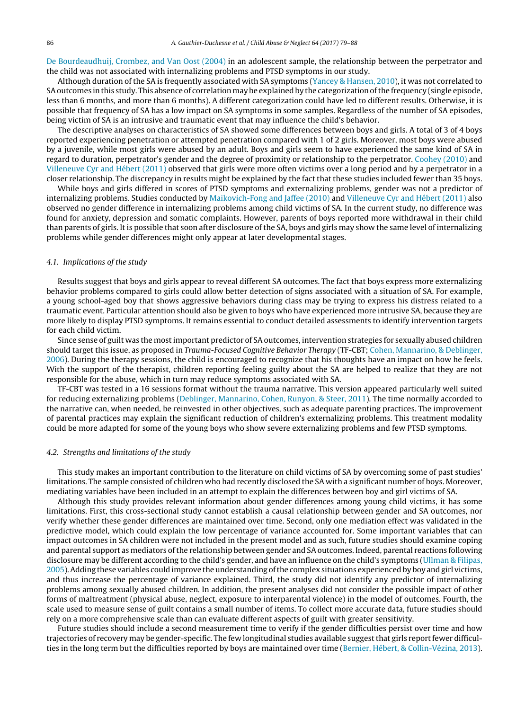[De](#page-8-0) [Bourdeaudhuij,](#page-8-0) [Crombez,](#page-8-0) [and](#page-8-0) [Van](#page-8-0) [Oost](#page-8-0) [\(2004\)](#page-8-0) in an adolescent sample, the relationship between the perpetrator and the child was not associated with internalizing problems and PTSD symptoms in our study.

Although duration of the SA is frequently associated with SA symptoms ([Yancey](#page-9-0) [&](#page-9-0) [Hansen,](#page-9-0) [2010\),](#page-9-0) it was not correlated to SA outcomes in this study. This absence of correlation may be explained by the categorization of the frequency (single episode, less than 6 months, and more than 6 months). A different categorization could have led to different results. Otherwise, it is possible that frequency of SA has a low impact on SA symptoms in some samples. Regardless of the number of SA episodes, being victim of SA is an intrusive and traumatic event that may influence the child's behavior.

The descriptive analyses on characteristics of SA showed some differences between boys and girls. A total of 3 of 4 boys reported experiencing penetration or attempted penetration compared with 1 of 2 girls. Moreover, most boys were abused by a juvenile, while most girls were abused by an adult. Boys and girls seem to have experienced the same kind of SA in regard to duration, perpetrator's gender and the degree of proximity or relationship to the perpetrator. [Coohey](#page-8-0) [\(2010\)](#page-8-0) and [Villeneuve](#page-9-0) [Cyr](#page-9-0) [and](#page-9-0) [Hébert](#page-9-0) [\(2011\)](#page-9-0) observed that girls were more often victims over a long period and by a perpetrator in a closer relationship. The discrepancy in results might be explained by the fact that these studies included fewer than 35 boys.

While boys and girls differed in scores of PTSD symptoms and externalizing problems, gender was not a predictor of internalizing problems. Studies conducted by [Maikovich-Fong](#page-9-0) [and](#page-9-0) [Jaffee](#page-9-0) [\(2010\)](#page-9-0) and [Villeneuve](#page-9-0) [Cyr](#page-9-0) [and](#page-9-0) [Hébert](#page-9-0) [\(2011\)](#page-9-0) also observed no gender difference in internalizing problems among child victims of SA. In the current study, no difference was found for anxiety, depression and somatic complaints. However, parents of boys reported more withdrawal in their child than parents of girls. It is possible that soon after disclosure of the SA, boys and girls may show the same level of internalizing problems while gender differences might only appear at later developmental stages.

#### 4.1. Implications of the study

Results suggest that boys and girls appear to reveal different SA outcomes. The fact that boys express more externalizing behavior problems compared to girls could allow better detection of signs associated with a situation of SA. For example, a young school-aged boy that shows aggressive behaviors during class may be trying to express his distress related to a traumatic event. Particular attention should also be given to boys who have experienced more intrusive SA, because they are more likely to display PTSD symptoms. It remains essential to conduct detailed assessments to identify intervention targets for each child victim.

Since sense of guilt was the mostimportant predictor of SA outcomes, intervention strategies for sexually abused children should target this issue, as proposed in Trauma-Focused Cognitive Behavior Therapy (TF-CBT; [Cohen,](#page-8-0) [Mannarino,](#page-8-0) [&](#page-8-0) [Deblinger,](#page-8-0) [2006\).](#page-8-0) During the therapy sessions, the child is encouraged to recognize that his thoughts have an impact on how he feels. With the support of the therapist, children reporting feeling guilty about the SA are helped to realize that they are not responsible for the abuse, which in turn may reduce symptoms associated with SA.

TF-CBT was tested in a 16 sessions format without the trauma narrative. This version appeared particularly well suited for reducing externalizing problems ([Deblinger,](#page-8-0) [Mannarino,](#page-8-0) [Cohen,](#page-8-0) [Runyon,](#page-8-0) [&](#page-8-0) [Steer,](#page-8-0) [2011\).](#page-8-0) The time normally accorded to the narrative can, when needed, be reinvested in other objectives, such as adequate parenting practices. The improvement of parental practices may explain the significant reduction of children's externalizing problems. This treatment modality could be more adapted for some of the young boys who show severe externalizing problems and few PTSD symptoms.

#### 4.2. Strengths and limitations of the study

This study makes an important contribution to the literature on child victims of SA by overcoming some of past studies' limitations. The sample consisted of children who had recently disclosed the SA with a significant number of boys. Moreover, mediating variables have been included in an attempt to explain the differences between boy and girl victims of SA.

Although this study provides relevant information about gender differences among young child victims, it has some limitations. First, this cross-sectional study cannot establish a causal relationship between gender and SA outcomes, nor verify whether these gender differences are maintained over time. Second, only one mediation effect was validated in the predictive model, which could explain the low percentage of variance accounted for. Some important variables that can impact outcomes in SA children were not included in the present model and as such, future studies should examine coping and parental support as mediators of the relationship between gender and SA outcomes. Indeed, parental reactions following disclosure may be different according to the child's gender, and have an influence on the child's symptoms [\(Ullman](#page-9-0) [&](#page-9-0) [Filipas,](#page-9-0) [2005\).](#page-9-0)Adding these variables could improve the understanding ofthe complex situations experienced by boy and girl victims, and thus increase the percentage of variance explained. Third, the study did not identify any predictor of internalizing problems among sexually abused children. In addition, the present analyses did not consider the possible impact of other forms of maltreatment (physical abuse, neglect, exposure to interparental violence) in the model of outcomes. Fourth, the scale used to measure sense of guilt contains a small number of items. To collect more accurate data, future studies should rely on a more comprehensive scale than can evaluate different aspects of guilt with greater sensitivity.

Future studies should include a second measurement time to verify if the gender difficulties persist over time and how trajectories of recovery may be gender-specific. The few longitudinal studies available suggestthat girls reportfewer difficulties in the long term but the difficulties reported by boys are maintained over time [\(Bernier,](#page-8-0) [Hébert,](#page-8-0) [&](#page-8-0) [Collin-Vézina,](#page-8-0) [2013\).](#page-8-0)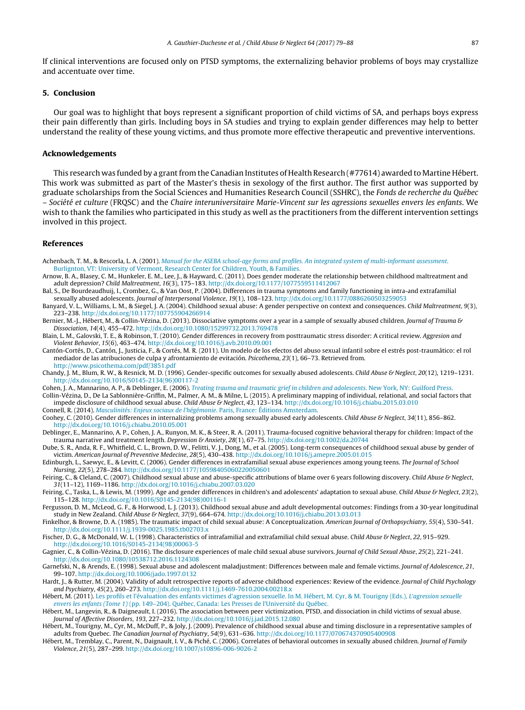<span id="page-8-0"></span>If clinical interventions are focused only on PTSD symptoms, the externalizing behavior problems of boys may crystallize and accentuate over time.

## **5. Conclusion**

Our goal was to highlight that boys represent a significant proportion of child victims of SA, and perhaps boys express their pain differently than girls. Including boys in SA studies and trying to explain gender differences may help to better understand the reality of these young victims, and thus promote more effective therapeutic and preventive interventions.

## **Acknowledgements**

This research was funded by a grant from the Canadian Institutes of Health Research (#77614) awarded to Martine Hébert. This work was submitted as part of the Master's thesis in sexology of the first author. The first author was supported by graduate scholarships from the Social Sciences and Humanities Research Council (SSHRC), the Fonds de recherche du Québec – Société et culture (FRQSC) and the Chaire interuniversitaire Marie-Vincent sur les agressions sexuelles envers les enfants. We wish to thank the families who participated in this study as well as the practitioners from the different intervention settings involved in this project.

#### **References**

- Achenbach, T. M., & Rescorla, L. A. (2001). [Manual](http://refhub.elsevier.com/S0145-2134(16)30317-9/sbref0005) [for](http://refhub.elsevier.com/S0145-2134(16)30317-9/sbref0005) [the](http://refhub.elsevier.com/S0145-2134(16)30317-9/sbref0005) [ASEBA](http://refhub.elsevier.com/S0145-2134(16)30317-9/sbref0005) [school-age](http://refhub.elsevier.com/S0145-2134(16)30317-9/sbref0005) [forms](http://refhub.elsevier.com/S0145-2134(16)30317-9/sbref0005) [and](http://refhub.elsevier.com/S0145-2134(16)30317-9/sbref0005) [profiles.](http://refhub.elsevier.com/S0145-2134(16)30317-9/sbref0005) [An](http://refhub.elsevier.com/S0145-2134(16)30317-9/sbref0005) [integrated](http://refhub.elsevier.com/S0145-2134(16)30317-9/sbref0005) [system](http://refhub.elsevier.com/S0145-2134(16)30317-9/sbref0005) [of](http://refhub.elsevier.com/S0145-2134(16)30317-9/sbref0005) [multi-informant](http://refhub.elsevier.com/S0145-2134(16)30317-9/sbref0005) [assessment](http://refhub.elsevier.com/S0145-2134(16)30317-9/sbref0005)[.](http://refhub.elsevier.com/S0145-2134(16)30317-9/sbref0005) [Burlignton,](http://refhub.elsevier.com/S0145-2134(16)30317-9/sbref0005) [VT:](http://refhub.elsevier.com/S0145-2134(16)30317-9/sbref0005) [University](http://refhub.elsevier.com/S0145-2134(16)30317-9/sbref0005) [of](http://refhub.elsevier.com/S0145-2134(16)30317-9/sbref0005) [Vermont,](http://refhub.elsevier.com/S0145-2134(16)30317-9/sbref0005) [Research](http://refhub.elsevier.com/S0145-2134(16)30317-9/sbref0005) [Center](http://refhub.elsevier.com/S0145-2134(16)30317-9/sbref0005) [for](http://refhub.elsevier.com/S0145-2134(16)30317-9/sbref0005) [Children,](http://refhub.elsevier.com/S0145-2134(16)30317-9/sbref0005) [Youth,](http://refhub.elsevier.com/S0145-2134(16)30317-9/sbref0005) [&](http://refhub.elsevier.com/S0145-2134(16)30317-9/sbref0005) [Families.](http://refhub.elsevier.com/S0145-2134(16)30317-9/sbref0005)
- Arnow, B. A., Blasey, C. M., Hunkeler, E. M., Lee, J., & Hayward, C. (2011). Does gender moderate the relationship between childhood maltreatment and adult depression? Child Maltreatment, 16(3), 175–183. [http://dx.doi.org/10.1177/1077559511412067](dx.doi.org/10.1177/1077559511412067)
- Bal, S., De Bourdeaudhuij, I., Crombez, G., & Van Oost, P. (2004). Differences in trauma symptoms and family functioning in intra-and extrafamilial sexually abused adolescents. Journal of Interpersonal Violence, 19(1), 108-123. [http://dx.doi.org/10.1177/0886260503259053](dx.doi.org/10.1177/0886260503259053)
- Banyard, V. L., Williams, L. M., & Siegel, J. A. (2004). Childhood sexual abuse: A gender perspective on context and consequences. Child Maltreatment, 9(3), 223–238. [http://dx.doi.org/10.1177/107755904266914](dx.doi.org/10.1177/107755904266914)
- Bernier, M.-J., Hébert, M., & Collin-Vézina, D. (2013). Dissociative symptoms over a year in a sample of sexually abused children. Journal of Trauma & Dissociation, 14(4), 455–472. [http://dx.doi.org/10.1080/15299732.2013.769478](dx.doi.org/10.1080/15299732.2013.769478)
- Blain, L. M., Galovski, T. E., & Robinson, T. (2010). Gender differences in recovery from posttraumatic stress disorder: A critical review. Aggresion and Violent Behavior, 15(6), 463–474. [http://dx.doi.org/10.1016/j.avb.2010.09.001](dx.doi.org/10.1016/j.avb.2010.09.001)
- Cantón-Cortés, D., Cantón, J., Justicia, F., & Cortés, M. R. (2011). Un modelo de los efectos del abuso sexual infantil sobre el estrés post-traumático: el rol mediador de las atribuciones de culpa y afrontamiento de evitación. Psicothema, 23(1), 66–73. Retrieved from. <http://www.psicothema.com/pdf/3851.pdf>
- Chandy, J. M., Blum, R. W., & Resnick, M. D. (1996). Gender-specific outcomes for sexually abused adolescents. Child Abuse & Neglect, 20(12), 1219–1231. [http://dx.doi.org/10.1016/S0145-2134\(96\)00117-2](dx.doi.org/10.1016/S0145-2134(96)00117-2)
- Cohen, J. A., Mannarino, A. P., & Deblinger, E. (2006). [Treating](http://refhub.elsevier.com/S0145-2134(16)30317-9/sbref0045) [trauma](http://refhub.elsevier.com/S0145-2134(16)30317-9/sbref0045) [and](http://refhub.elsevier.com/S0145-2134(16)30317-9/sbref0045) [traumatic](http://refhub.elsevier.com/S0145-2134(16)30317-9/sbref0045) [grief](http://refhub.elsevier.com/S0145-2134(16)30317-9/sbref0045) [in](http://refhub.elsevier.com/S0145-2134(16)30317-9/sbref0045) [children](http://refhub.elsevier.com/S0145-2134(16)30317-9/sbref0045) [and](http://refhub.elsevier.com/S0145-2134(16)30317-9/sbref0045) [adolescents](http://refhub.elsevier.com/S0145-2134(16)30317-9/sbref0045). [New](http://refhub.elsevier.com/S0145-2134(16)30317-9/sbref0045) [York,](http://refhub.elsevier.com/S0145-2134(16)30317-9/sbref0045) [NY:](http://refhub.elsevier.com/S0145-2134(16)30317-9/sbref0045) [Guilford](http://refhub.elsevier.com/S0145-2134(16)30317-9/sbref0045) [Press.](http://refhub.elsevier.com/S0145-2134(16)30317-9/sbref0045) Collin-Vézina, D., De La Sablonnière-Griffin, M., Palmer, A. M., & Milne, L. (2015). A preliminary mapping of individual, relational, and social factors that

impede disclosure of childhood sexual abuse. Child Abuse & Neglect, 43, 123-134. [http://dx.doi.org/10.1016/j.chiabu.2015.03.010](dx.doi.org/10.1016/j.chiabu.2015.03.010) Connell, R. (2014). [Masculinités:](http://refhub.elsevier.com/S0145-2134(16)30317-9/sbref0055) [Enjeux](http://refhub.elsevier.com/S0145-2134(16)30317-9/sbref0055) [sociaux](http://refhub.elsevier.com/S0145-2134(16)30317-9/sbref0055) [de](http://refhub.elsevier.com/S0145-2134(16)30317-9/sbref0055) [l'hégémonie](http://refhub.elsevier.com/S0145-2134(16)30317-9/sbref0055)[.](http://refhub.elsevier.com/S0145-2134(16)30317-9/sbref0055) [Paris,](http://refhub.elsevier.com/S0145-2134(16)30317-9/sbref0055) [France:](http://refhub.elsevier.com/S0145-2134(16)30317-9/sbref0055) [Éditions](http://refhub.elsevier.com/S0145-2134(16)30317-9/sbref0055) [Amsterdam.](http://refhub.elsevier.com/S0145-2134(16)30317-9/sbref0055)

- Coohey, C. (2010). Gender differences in internalizing problems among sexually abused early adolescents. Child Abuse & Neglect, 34(11), 856–862. [http://dx.doi.org/10.1016/j.chiabu.2010.05.001](dx.doi.org/10.1016/j.chiabu.2010.05.001)
- Deblinger, E., Mannarino, A. P., Cohen, J. A., Runyon, M. K., & Steer, R. A. (2011). Trauma-focused cognitive behavioral therapy for children: Impact of the trauma narrative and treatment length. Depression & Anxiety, 28(1), 67–75. [http://dx.doi.org/10.1002/da.20744](dx.doi.org/10.1002/da.20744)
- Dube, S. R., Anda, R. F., Whitfield, C. L., Brown, D. W., Felitti, V. J., Dong, M., et al. (2005). Long-term consequences of childhood sexual abuse by gender of victim. American Journal of Preventive Medecine, 28(5), 430–438. [http://dx.doi.org/10.1016/j.amepre.2005.01.015](dx.doi.org/10.1016/j.amepre.2005.01.015)
- Edinburgh, L., Saewyc, E., & Levitt, C. (2006). Gender differences in extrafamilial sexual abuse experiences among young teens. The Journal of School Nursing, 22(5), 278–284. [http://dx.doi.org/10.1177/10598405060220050601](dx.doi.org/10.1177/10598405060220050601)
- Feiring, C., & Cleland, C. (2007). Childhood sexual abuse and abuse-specific attributions of blame over 6 years following discovery. Child Abuse & Neglect, 31(11–12), 1169–1186. [http://dx.doi.org/10.1016/j.chiabu.2007.03.020](dx.doi.org/10.1016/j.chiabu.2007.03.020)
- Feiring, C., Taska, L., & Lewis, M. (1999). Age and gender differences in children's and adolescents' adaptation to sexual abuse. Child Abuse & Neglect, 23(2), 115–128. [http://dx.doi.org/10.1016/S0145-2134\(98\)00116-1](dx.doi.org/10.1016/S0145-2134(98)00116-1)
- Fergusson, D. M., McLeod, G. F., & Horwood, L. J. (2013). Childhood sexual abuse and adult developmental outcomes: Findings from a 30-year longitudinal study in New Zealand. Child Abuse & Neglect, 37(9), 664–674. [http://dx.doi.org/10.1016/j.chiabu.2013.03.013](dx.doi.org/10.1016/j.chiabu.2013.03.013)
- Finkelhor, & Browne, D. A. (1985). The traumatic impact of child sexual abuse: A Conceptualization. American Journal of Orthopsychiatry, 55(4), 530–541. [http://dx.doi.org/10.1111/j.1939-0025.1985.tb02703.x](dx.doi.org/10.1111/j.1939-0025.1985.tb02703.x)
- Fischer, D. G., & McDonald, W. L. (1998). Characteristics of intrafamilial and extrafamilial child sexual abuse. Child Abuse & Neglect, 22, 915-929. [http://dx.doi.org/10.1016/S0145-2134\(98\)00063-5](dx.doi.org/10.1016/S0145-2134(98)00063-5)
- Gagnier, C., & Collin-Vézina, D. (2016). The disclosure experiences of male child sexual abuse survivors. Journal of Child Sexual Abuse, 25(2), 221–241. [http://dx.doi.org/10.1080/10538712.2016.1124308](dx.doi.org/10.1080/10538712.2016.1124308)
- Garnefski, N., & Arends, E. (1998). Sexual abuse and adolescent maladjustment: Differences between male and female victims. Journal of Adolescence, 21, 99–107. [http://dx.doi.org/10.1006/jado.1997.0132](dx.doi.org/10.1006/jado.1997.0132)
- Hardt, J., & Rutter, M. (2004). Validity of adult retrospective reports of adverse childhood experiences: Review of the evidence. Journal of Child Psychology and Psychiatry, 45(2), 260–273. [http://dx.doi.org/10.1111/j.1469-7610.2004.00218.x](dx.doi.org/10.1111/j.1469-7610.2004.00218.x)
- Hébert, M. (2011). [Les](http://refhub.elsevier.com/S0145-2134(16)30317-9/sbref0120) [profils](http://refhub.elsevier.com/S0145-2134(16)30317-9/sbref0120) [et](http://refhub.elsevier.com/S0145-2134(16)30317-9/sbref0120) [l'évaluation](http://refhub.elsevier.com/S0145-2134(16)30317-9/sbref0120) [des](http://refhub.elsevier.com/S0145-2134(16)30317-9/sbref0120) [enfants](http://refhub.elsevier.com/S0145-2134(16)30317-9/sbref0120) [victimes](http://refhub.elsevier.com/S0145-2134(16)30317-9/sbref0120) [d'agression](http://refhub.elsevier.com/S0145-2134(16)30317-9/sbref0120) [sexuelle.](http://refhub.elsevier.com/S0145-2134(16)30317-9/sbref0120) [In](http://refhub.elsevier.com/S0145-2134(16)30317-9/sbref0120) [M.](http://refhub.elsevier.com/S0145-2134(16)30317-9/sbref0120) [Hébert,](http://refhub.elsevier.com/S0145-2134(16)30317-9/sbref0120) [M.](http://refhub.elsevier.com/S0145-2134(16)30317-9/sbref0120) [Cyr,](http://refhub.elsevier.com/S0145-2134(16)30317-9/sbref0120) [&](http://refhub.elsevier.com/S0145-2134(16)30317-9/sbref0120) [M.](http://refhub.elsevier.com/S0145-2134(16)30317-9/sbref0120) [Tourigny](http://refhub.elsevier.com/S0145-2134(16)30317-9/sbref0120) [\(Eds.\),](http://refhub.elsevier.com/S0145-2134(16)30317-9/sbref0120) [L'agression](http://refhub.elsevier.com/S0145-2134(16)30317-9/sbref0120) [sexuelle](http://refhub.elsevier.com/S0145-2134(16)30317-9/sbref0120) [envers](http://refhub.elsevier.com/S0145-2134(16)30317-9/sbref0120) [les](http://refhub.elsevier.com/S0145-2134(16)30317-9/sbref0120) [enfants](http://refhub.elsevier.com/S0145-2134(16)30317-9/sbref0120) [\(Tome](http://refhub.elsevier.com/S0145-2134(16)30317-9/sbref0120) [1\)](http://refhub.elsevier.com/S0145-2134(16)30317-9/sbref0120) [\(pp.](http://refhub.elsevier.com/S0145-2134(16)30317-9/sbref0120) [149–204\).](http://refhub.elsevier.com/S0145-2134(16)30317-9/sbref0120) [Québec,](http://refhub.elsevier.com/S0145-2134(16)30317-9/sbref0120) [Canada:](http://refhub.elsevier.com/S0145-2134(16)30317-9/sbref0120) [Les](http://refhub.elsevier.com/S0145-2134(16)30317-9/sbref0120) [Presses](http://refhub.elsevier.com/S0145-2134(16)30317-9/sbref0120) [de](http://refhub.elsevier.com/S0145-2134(16)30317-9/sbref0120) [l'Université](http://refhub.elsevier.com/S0145-2134(16)30317-9/sbref0120) [du](http://refhub.elsevier.com/S0145-2134(16)30317-9/sbref0120) [Québec.](http://refhub.elsevier.com/S0145-2134(16)30317-9/sbref0120)
- Hébert, M., Langevin, R., & Daigneault, I. (2016). The association between peer victimization, PTSD, and dissociation in child victims of sexual abuse. Journal of Affective Disorders, 193, 227–232. [http://dx.doi.org/10.1016/j.jad.2015.12.080](dx.doi.org/10.1016/j.jad.2015.12.080)
- Hébert, M., Tourigny, M., Cyr, M., McDuff, P., & Joly, J. (2009). Prevalence of childhood sexual abuse and timing disclosure in a representative samples of adults from Quebec. The Canadian Journal of Psychiatry, 54(9), 631–636. [http://dx.doi.org/10.1177/070674370905400908](dx.doi.org/10.1177/070674370905400908)
- Hébert, M., Tremblay, C., Parent, N., Daignault, I. V., & Piché, C. (2006). Correlates of behavioral outcomes in sexually abused children. Journal of Family Violence, 21(5), 287–299. [http://dx.doi.org/10.1007/s10896-006-9026-2](dx.doi.org/10.1007/s10896-006-9026-2)